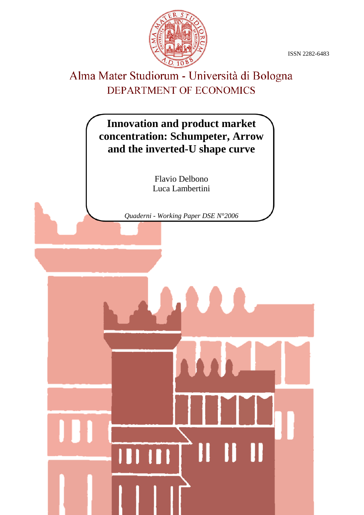ISSN 2282-6483



## Alma Mater Studiorum - Università di Bologna DEPARTMENT OF ECONOMICS

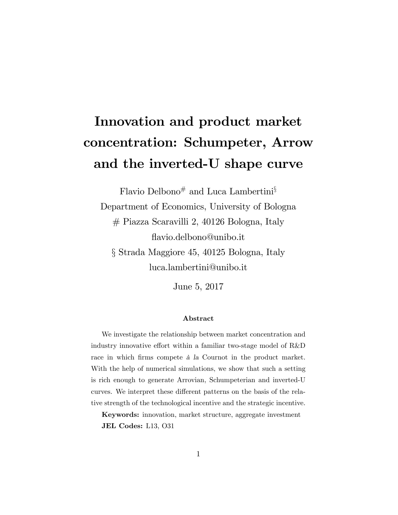# Innovation and product market concentration: Schumpeter, Arrow and the inverted-U shape curve

Flavio Delbono# and Luca Lambertini<sup>§</sup> Department of Economics, University of Bologna # Piazza Scaravilli 2, 40126 Bologna, Italy áavio.delbono@unibo.it ß Strada Maggiore 45, 40125 Bologna, Italy

luca.lambertini@unibo.it

June 5, 2017

#### Abstract

We investigate the relationship between market concentration and industry innovative effort within a familiar two-stage model of  $R&D$ race in which firms compete à la Cournot in the product market. With the help of numerical simulations, we show that such a setting is rich enough to generate Arrovian, Schumpeterian and inverted-U curves. We interpret these different patterns on the basis of the relative strength of the technological incentive and the strategic incentive.

Keywords: innovation, market structure, aggregate investment JEL Codes: L13, O31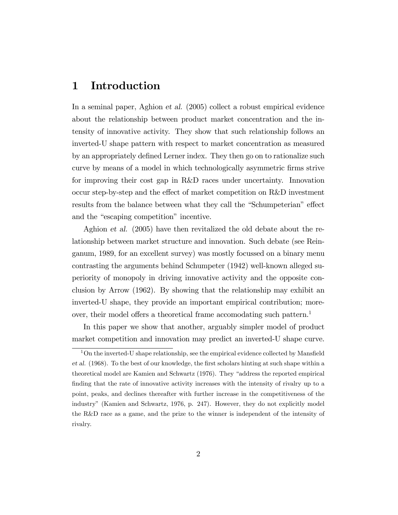### 1 Introduction

In a seminal paper, Aghion et al. (2005) collect a robust empirical evidence about the relationship between product market concentration and the intensity of innovative activity. They show that such relationship follows an inverted-U shape pattern with respect to market concentration as measured by an appropriately defined Lerner index. They then go on to rationalize such curve by means of a model in which technologically asymmetric Örms strive for improving their cost gap in R&D races under uncertainty. Innovation occur step-by-step and the effect of market competition on  $R&D$  investment results from the balance between what they call the "Schumpeterian" effect and the "escaping competition" incentive.

Aghion et al. (2005) have then revitalized the old debate about the relationship between market structure and innovation. Such debate (see Reinganum, 1989, for an excellent survey) was mostly focussed on a binary menu contrasting the arguments behind Schumpeter (1942) well-known alleged superiority of monopoly in driving innovative activity and the opposite conclusion by Arrow (1962). By showing that the relationship may exhibit an inverted-U shape, they provide an important empirical contribution; moreover, their model offers a theoretical frame accomodating such pattern.<sup>1</sup>

In this paper we show that another, arguably simpler model of product market competition and innovation may predict an inverted-U shape curve.

 $1$ On the inverted-U shape relationship, see the empirical evidence collected by Mansfield et al. (1968). To the best of our knowledge, the first scholars hinting at such shape within a theoretical model are Kamien and Schwartz (1976). They "address the reported empirical finding that the rate of innovative activity increases with the intensity of rivalry up to a point, peaks, and declines thereafter with further increase in the competitiveness of the industryî (Kamien and Schwartz, 1976, p. 247). However, they do not explicitly model the R&D race as a game, and the prize to the winner is independent of the intensity of rivalry.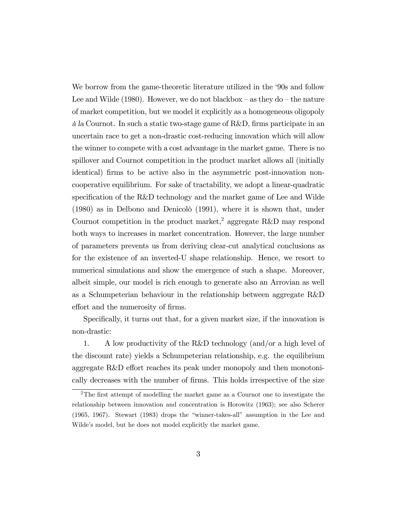We borrow from the game-theoretic literature utilized in the '90s and follow Lee and Wilde (1980). However, we do not blackbox  $-$  as they do  $-$  the nature of market competition, but we model it explicitly as a homogeneous oligopoly  $\hat{a}$  la Cournot. In such a static two-stage game of R&D, firms participate in an uncertain race to get a non-drastic cost-reducing innovation which will allow the winner to compete with a cost advantage in the market game. There is no spillover and Cournot competition in the product market allows all (initially identical) firms to be active also in the asymmetric post-innovation noncooperative equilibrium. For sake of tractability, we adopt a linear-quadratic specification of the  $R\&D$  technology and the market game of Lee and Wilde  $(1980)$  as in Delbono and Denicolo  $(1991)$ , where it is shown that, under Cournot competition in the product market,<sup>2</sup> aggregate R&D may respond both ways to increases in market concentration. However, the large number of parameters prevents us from deriving clear-cut analytical conclusions as for the existence of an inverted-U shape relationship. Hence, we resort to numerical simulations and show the emergence of such a shape. Moreover, albeit simple, our model is rich enough to generate also an Arrovian as well as a Schumpeterian behaviour in the relationship between aggregate R&D effort and the numerosity of firms.

Specifically, it turns out that, for a given market size, if the innovation is non-drastic:

1. A low productivity of the R&D technology (and/or a high level of the discount rate) yields a Schumpeterian relationship, e.g. the equilibrium aggregate R&D effort reaches its peak under monopoly and then monotonically decreases with the number of firms. This holds irrespective of the size

 $2$ The first attempt of modelling the market game as a Cournot one to investigate the relationship between innovation and concentration is Horowitz (1963); see also Scherer  $(1965, 1967)$ . Stewart  $(1983)$  drops the "winner-takes-all" assumption in the Lee and Wilde's model, but he does not model explicitly the market game.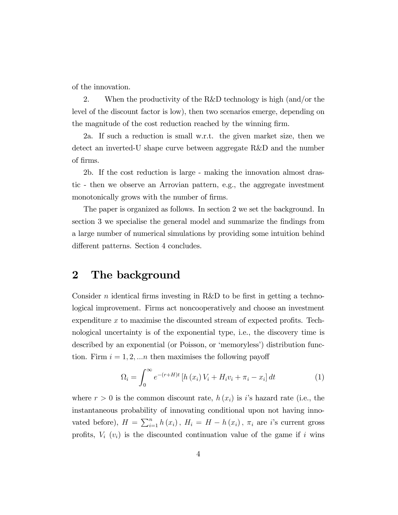of the innovation.

2. When the productivity of the R&D technology is high (and/or the level of the discount factor is low), then two scenarios emerge, depending on the magnitude of the cost reduction reached by the winning firm.

2a. If such a reduction is small w.r.t. the given market size, then we detect an inverted-U shape curve between aggregate R&D and the number of Örms.

2b. If the cost reduction is large - making the innovation almost drastic - then we observe an Arrovian pattern, e.g., the aggregate investment monotonically grows with the number of firms.

The paper is organized as follows. In section 2 we set the background. In section 3 we specialise the general model and summarize the findings from a large number of numerical simulations by providing some intuition behind different patterns. Section 4 concludes.

#### 2 The background

Consider n identical firms investing in R&D to be first in getting a technological improvement. Firms act noncooperatively and choose an investment expenditure  $x$  to maximise the discounted stream of expected profits. Technological uncertainty is of the exponential type, i.e., the discovery time is described by an exponential (or Poisson, or 'memoryless') distribution function. Firm  $i = 1, 2, \dots n$  then maximises the following payoff

$$
\Omega_i = \int_0^\infty e^{-(r+H)t} \left[ h\left(x_i\right) V_i + H_i v_i + \pi_i - x_i \right] dt \tag{1}
$$

where  $r > 0$  is the common discount rate,  $h(x_i)$  is i's hazard rate (i.e., the instantaneous probability of innovating conditional upon not having innovated before),  $H = \sum_{i=1}^{n} h(x_i)$ ,  $H_i = H - h(x_i)$ ,  $\pi_i$  are *i*'s current gross profits,  $V_i$  ( $v_i$ ) is the discounted continuation value of the game if i wins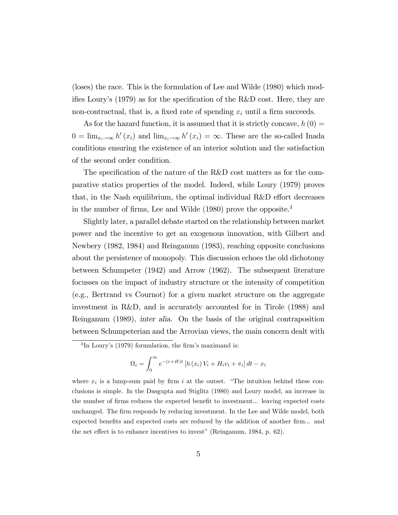(loses) the race. This is the formulation of Lee and Wilde (1980) which modifies Loury's (1979) as for the specification of the R&D cost. Here, they are non-contractual, that is, a fixed rate of spending  $x_i$  until a firm succeeds.

As for the hazard function, it is assumed that it is strictly concave,  $h(0) =$  $0 = \lim_{x_i \to \infty} h'(x_i)$  and  $\lim_{x_i \to \infty} h'(x_i) = \infty$ . These are the so-called Inada conditions ensuring the existence of an interior solution and the satisfaction of the second order condition.

The specification of the nature of the R&D cost matters as for the comparative statics properties of the model. Indeed, while Loury (1979) proves that, in the Nash equilibrium, the optimal individual  $R\&D$  effort decreases in the number of firms, Lee and Wilde (1980) prove the opposite.<sup>3</sup>

Slightly later, a parallel debate started on the relationship between market power and the incentive to get an exogenous innovation, with Gilbert and Newbery (1982, 1984) and Reinganum (1983), reaching opposite conclusions about the persistence of monopoly. This discussion echoes the old dichotomy between Schumpeter (1942) and Arrow (1962). The subsequent literature focusses on the impact of industry structure or the intensity of competition (e.g., Bertrand vs Cournot) for a given market structure on the aggregate investment in R&D, and is accurately accounted for in Tirole (1988) and Reinganum (1989), inter alia. On the basis of the original contraposition between Schumpeterian and the Arrovian views, the main concern dealt with

$$
\Omega_i = \int_0^\infty e^{-(r+H)t} \left[ h(x_i) V_i + H_i v_i + \pi_i \right] dt - x_i
$$

 ${}^{3}$ In Loury's (1979) formulation, the firm's maximand is:

where  $x_i$  is a lump-sum paid by firm i at the outset. "The intuition behind these conclusions is simple. In the Dasgupta and Stiglitz (1980) and Loury model, an increase in the number of firms reduces the expected benefit to investment... leaving expected costs unchanged. The Örm responds by reducing investment. In the Lee and Wilde model, both expected benefits and expected costs are reduced by the addition of another firm... and the net effect is to enhance incentives to invest" (Reinganum,  $1984$ , p. 62).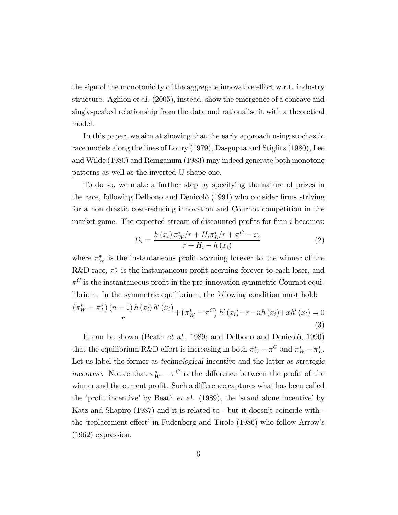the sign of the monotonicity of the aggregate innovative effort w.r.t. industry structure. Aghion et al. (2005), instead, show the emergence of a concave and single-peaked relationship from the data and rationalise it with a theoretical model.

In this paper, we aim at showing that the early approach using stochastic race models along the lines of Loury (1979), Dasgupta and Stiglitz (1980), Lee and Wilde (1980) and Reinganum (1983) may indeed generate both monotone patterns as well as the inverted-U shape one.

To do so, we make a further step by specifying the nature of prizes in the race, following Delbono and Denicolo<sup>(1991)</sup> who consider firms striving for a non drastic cost-reducing innovation and Cournot competition in the market game. The expected stream of discounted profits for firm  $i$  becomes:

$$
\Omega_{i} = \frac{h(x_{i}) \pi_{W}^{*}/r + H_{i} \pi_{L}^{*}/r + \pi^{C} - x_{i}}{r + H_{i} + h(x_{i})}
$$
\n(2)

where  $\pi_W^*$  is the instantaneous profit accruing forever to the winner of the R&D race,  $\pi_L^*$  is the instantaneous profit accruing forever to each loser, and  $\pi^{C}$  is the instantaneous profit in the pre-innovation symmetric Cournot equilibrium. In the symmetric equilibrium, the following condition must hold:

$$
\frac{\left(\pi_{W}^{*}-\pi_{L}^{*}\right)\left(n-1\right)h\left(x_{i}\right)h'\left(x_{i}\right)}{r}+\left(\pi_{W}^{*}-\pi^{C}\right)h'\left(x_{i}\right)-r-nh\left(x_{i}\right)+xh'\left(x_{i}\right)=0
$$
\n(3)

It can be shown (Beath et al., 1989; and Delbono and Denicolo, 1990) that the equilibrium R&D effort is increasing in both  $\pi_W^* - \pi_C^C$  and  $\pi_W^* - \pi_L^*$ . Let us label the former as technological incentive and the latter as strategic incentive. Notice that  $\pi_W^* - \pi^C$  is the difference between the profit of the winner and the current profit. Such a difference captures what has been called the 'profit incentive' by Beath et al.  $(1989)$ , the 'stand alone incentive' by Katz and Shapiro (1987) and it is related to - but it doesn't coincide with the 'replacement effect' in Fudenberg and Tirole (1986) who follow Arrow's (1962) expression.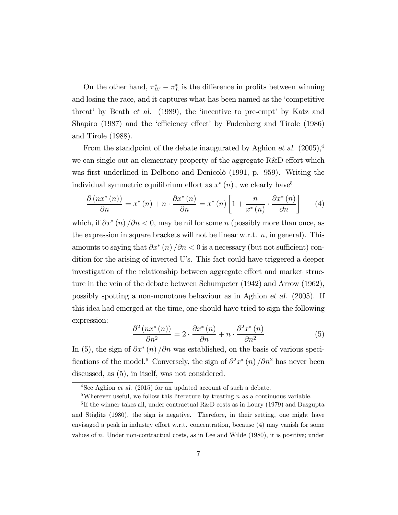On the other hand,  $\pi_W^* - \pi_L^*$  is the difference in profits between winning and losing the race, and it captures what has been named as the 'competitive threat' by Beath et al. (1989), the 'incentive to pre-empt' by Katz and Shapiro (1987) and the 'efficiency effect' by Fudenberg and Tirole (1986) and Tirole (1988).

From the standpoint of the debate inaugurated by Aghion *et al.*  $(2005)^4$ we can single out an elementary property of the aggregate  $R&D$  effort which was first underlined in Delbono and Denicolo (1991, p. 959). Writing the individual symmetric equilibrium effort as  $x^*(n)$ , we clearly have<sup>5</sup>

$$
\frac{\partial \left(nx^*(n)\right)}{\partial n} = x^*(n) + n \cdot \frac{\partial x^*(n)}{\partial n} = x^*(n) \left[1 + \frac{n}{x^*(n)} \cdot \frac{\partial x^*(n)}{\partial n}\right] \tag{4}
$$

which, if  $\partial x^*(n)/\partial n < 0$ , may be nil for some n (possibly more than once, as the expression in square brackets will not be linear w.r.t.  $n$ , in general). This amounts to saying that  $\partial x^*(n)/\partial n < 0$  is a necessary (but not sufficient) condition for the arising of inverted U's. This fact could have triggered a deeper investigation of the relationship between aggregate effort and market structure in the vein of the debate between Schumpeter (1942) and Arrow (1962), possibly spotting a non-monotone behaviour as in Aghion et al. (2005). If this idea had emerged at the time, one should have tried to sign the following expression:

$$
\frac{\partial^2 \left( nx^*(n) \right)}{\partial n^2} = 2 \cdot \frac{\partial x^*(n)}{\partial n} + n \cdot \frac{\partial^2 x^*(n)}{\partial n^2}
$$
(5)

In (5), the sign of  $\partial x^*(n)$  / $\partial n$  was established, on the basis of various specifications of the model.<sup>6</sup> Conversely, the sign of  $\partial^2 x^* (n) / \partial n^2$  has never been discussed, as (5), in itself, was not considered.

<sup>&</sup>lt;sup>4</sup>See Aghion *et al.* (2015) for an updated account of such a debate.

<sup>&</sup>lt;sup>5</sup>Wherever useful, we follow this literature by treating n as a continuous variable.

<sup>&</sup>lt;sup>6</sup>If the winner takes all, under contractual R&D costs as in Loury (1979) and Dasgupta and Stiglitz (1980), the sign is negative. Therefore, in their setting, one might have envisaged a peak in industry effort w.r.t. concentration, because  $(4)$  may vanish for some values of  $n$ . Under non-contractual costs, as in Lee and Wilde  $(1980)$ , it is positive; under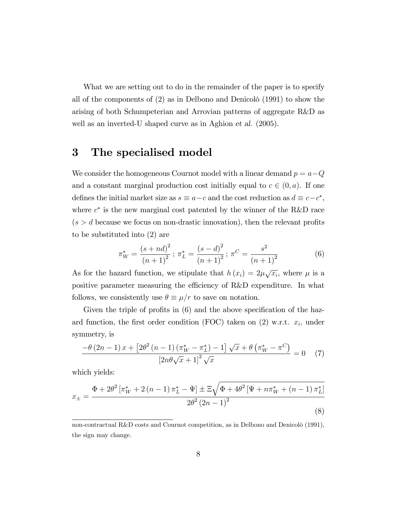What we are setting out to do in the remainder of the paper is to specify all of the components of  $(2)$  as in Delbono and Denicolo  $(1991)$  to show the arising of both Schumpeterian and Arrovian patterns of aggregate R&D as well as an inverted-U shaped curve as in Aghion et al. (2005).

## 3 The specialised model

We consider the homogeneous Cournot model with a linear demand  $p = a - Q$ and a constant marginal production cost initially equal to  $c \in (0, a)$ . If one defines the initial market size as  $s \equiv a-c$  and the cost reduction as  $d \equiv c-c^*$ , where  $c^*$  is the new marginal cost patented by the winner of the R&D race  $(s > d)$  because we focus on non-drastic innovation), then the relevant profits to be substituted into (2) are

$$
\pi_W^* = \frac{(s+nd)^2}{(n+1)^2}; \ \pi_L^* = \frac{(s-d)^2}{(n+1)^2}; \ \pi_C = \frac{s^2}{(n+1)^2}
$$
(6)

As for the hazard function, we stipulate that  $h(x_i) = 2\mu\sqrt{x_i}$ , where  $\mu$  is a positive parameter measuring the efficiency of R&D expenditure. In what follows, we consistently use  $\theta \equiv \mu/r$  to save on notation.

Given the triple of profits in  $(6)$  and the above specification of the hazard function, the first order condition (FOC) taken on  $(2)$  w.r.t.  $x_i$ , under symmetry, is

$$
\frac{-\theta\left(2n-1\right)x+\left[2\theta^2\left(n-1\right)\left(\pi_W^*-\pi_L^*\right)-1\right]\sqrt{x}+\theta\left(\pi_W^*-\pi^C\right)}{\left[2n\theta\sqrt{x}+1\right]^2\sqrt{x}}=0\tag{7}
$$

which yields:

$$
x_{\pm} = \frac{\Phi + 2\theta^2 \left[ \pi_W^* + 2\left(n - 1\right) \pi_L^* - \Psi \right] \pm \Xi \sqrt{\Phi + 4\theta^2 \left[ \Psi + n\pi_W^* + \left(n - 1\right) \pi_L^* \right]}}{2\theta^2 \left(2n - 1\right)^2}
$$
\n(8)

non-contractual R&D costs and Cournot competition, as in Delbono and Denicolò (1991), the sign may change.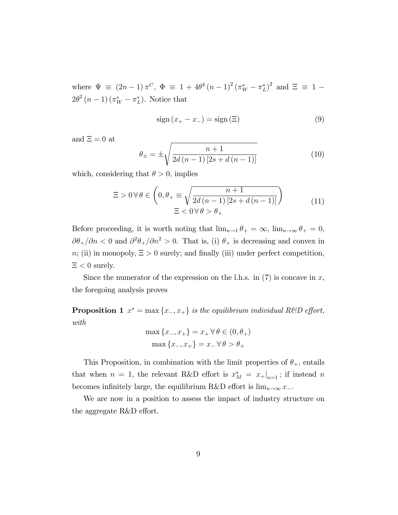where  $\Psi \equiv (2n-1)\pi^C$ ,  $\Phi \equiv 1 + 4\theta^4 (n-1)^2 (\pi^*_{W} - \pi^*_{L})^2$  and  $\Xi \equiv 1 2\theta^2(n-1)(\pi^*_{W}-\pi^*_{L})$ . Notice that

$$
sign(x_{+} - x_{-}) = sign(\Xi)
$$
\n(9)

and  $\Xi = 0$  at

$$
\theta_{\pm} = \pm \sqrt{\frac{n+1}{2d(n-1)[2s+d(n-1)]}}
$$
(10)

which, considering that  $\theta > 0$ , implies

$$
\Xi > 0 \,\forall \,\theta \in \left(0, \theta_{+} \equiv \sqrt{\frac{n+1}{2d\,(n-1)\,[2s+d\,(n-1)]}}\right) \qquad (11)
$$

$$
\Xi < 0 \,\forall \,\theta > \theta_{+}
$$

Before proceeding, it is worth noting that  $\lim_{n\to 1} \theta_+ = \infty$ ,  $\lim_{n\to\infty} \theta_+ = 0$ ,  $\partial \theta_+/\partial n < 0$  and  $\partial^2 \theta_+/\partial n^2 > 0$ . That is, (i)  $\theta_+$  is decreasing and convex in  $n;$  (ii) in monopoly,  $\Xi > 0$  surely; and finally (iii) under perfect competition,  $\Xi < 0$  surely.

Since the numerator of the expression on the l.h.s. in  $(7)$  is concave in x, the foregoing analysis proves

**Proposition 1**  $x^* = \max\{x_-, x_+\}$  is the equilibrium individual R&D effort, with

$$
\max \{x_-, x_+\} = x_+ \,\forall \,\theta \in (0, \theta_+)
$$

$$
\max \{x_-, x_+\} = x_- \,\forall \,\theta > \theta_+
$$

This Proposition, in combination with the limit properties of  $\theta_{+}$ , entails that when  $n = 1$ , the relevant R&D effort is  $x_M^* = x_+|_{n=1}$ ; if instead n becomes infinitely large, the equilibrium R&D effort is  $\lim_{n\to\infty} x$ .

We are now in a position to assess the impact of industry structure on the aggregate  $R&D$  effort.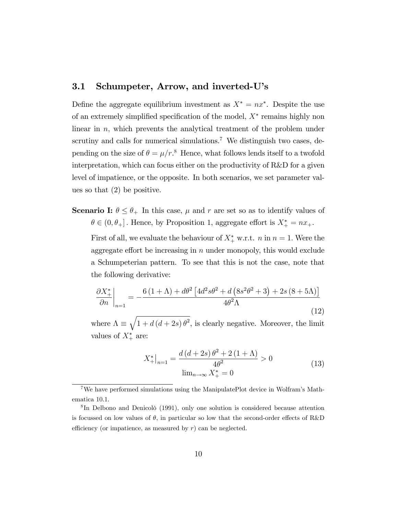#### 3.1 Schumpeter, Arrow, and inverted-U's

Define the aggregate equilibrium investment as  $X^* = nx^*$ . Despite the use of an extremely simplified specification of the model,  $X^*$  remains highly non linear in  $n$ , which prevents the analytical treatment of the problem under scrutiny and calls for numerical simulations.<sup>7</sup> We distinguish two cases, depending on the size of  $\theta = \mu/r$ .<sup>8</sup> Hence, what follows lends itself to a twofold interpretation, which can focus either on the productivity of R&D for a given level of impatience, or the opposite. In both scenarios, we set parameter values so that (2) be positive.

**Scenario I:**  $\theta \leq \theta_+$  In this case,  $\mu$  and r are set so as to identify values of  $\theta \in (0, \theta_+]$ . Hence, by Proposition 1, aggregate effort is  $X^*_+ = nx_+$ .

First of all, we evaluate the behaviour of  $X^*_{+}$  w.r.t.  $n \text{ in } n = 1$ . Were the aggregate effort be increasing in  $n$  under monopoly, this would exclude a Schumpeterian pattern. To see that this is not the case, note that the following derivative:

$$
\frac{\partial X_{+}^{*}}{\partial n}\bigg|_{n=1} = -\frac{6\left(1+\Lambda\right) + d\theta^{2}\left[4d^{2}s\theta^{2} + d\left(8s^{2}\theta^{2} + 3\right) + 2s\left(8+5\Lambda\right)\right]}{4\theta^{2}\Lambda}
$$
\n(12)

where  $\Lambda \equiv \sqrt{1 + d (d + 2s) \theta^2}$ , is clearly negative. Moreover, the limit values of  $X^*_{+}$  are:

$$
X_{+}^{*}\big|_{n=1} = \frac{d\left(d+2s\right)\theta^{2} + 2\left(1+\Lambda\right)}{4\theta^{2}} > 0
$$
\n
$$
\lim_{n \to \infty} X_{+}^{*} = 0
$$
\n(13)

<sup>&</sup>lt;sup>7</sup>We have performed simulations using the ManipulatePlot device in Wolfram's Mathematica 10.1.

<sup>&</sup>lt;sup>8</sup>In Delbono and Denicolò (1991), only one solution is considered because attention is focussed on low values of  $\theta$ , in particular so low that the second-order effects of R&D efficiency (or impatience, as measured by  $r$ ) can be neglected.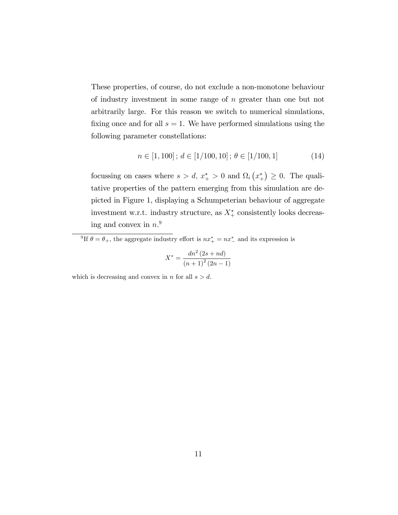These properties, of course, do not exclude a non-monotone behaviour of industry investment in some range of n greater than one but not arbitrarily large. For this reason we switch to numerical simulations, fixing once and for all  $s = 1$ . We have performed simulations using the following parameter constellations:

$$
n \in [1, 100]; d \in [1/100, 10]; \theta \in [1/100, 1]
$$
 (14)

focussing on cases where  $s > d$ ,  $x^*$   $> 0$  and  $\Omega_i(x^*) \geq 0$ . The qualitative properties of the pattern emerging from this simulation are depicted in Figure 1, displaying a Schumpeterian behaviour of aggregate investment w.r.t. industry structure, as  $X^*$  consistently looks decreasing and convex in  $n<sup>9</sup>$ 

<sup>9</sup>If  $\theta = \theta_+$ , the aggregate industry effort is  $nx_+^* = nx_-^*$  and its expression is

$$
X^* = \frac{dn^2 (2s + nd)}{(n+1)^2 (2n-1)}
$$

which is decreasing and convex in n for all  $s > d$ .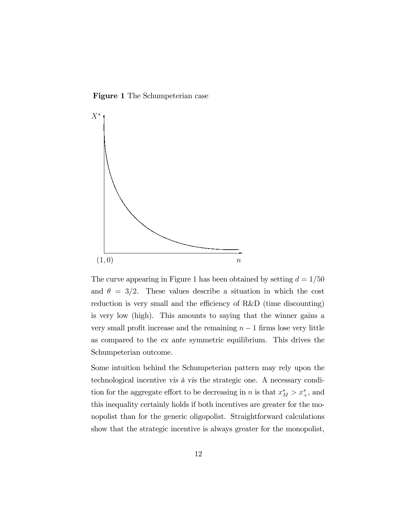Figure 1 The Schumpeterian case



The curve appearing in Figure 1 has been obtained by setting  $d = 1/50$ and  $\theta = 3/2$ . These values describe a situation in which the cost reduction is very small and the efficiency of  $R&D$  (time discounting) is very low (high). This amounts to saying that the winner gains a very small profit increase and the remaining  $n - 1$  firms lose very little as compared to the ex ante symmetric equilibrium. This drives the Schumpeterian outcome.

Some intuition behind the Schumpeterian pattern may rely upon the technological incentive vis à vis the strategic one. A necessary condition for the aggregate effort to be decreasing in n is that  $x_M^* > x_+^*$ , and this inequality certainly holds if both incentives are greater for the monopolist than for the generic oligopolist. Straightforward calculations show that the strategic incentive is always greater for the monopolist,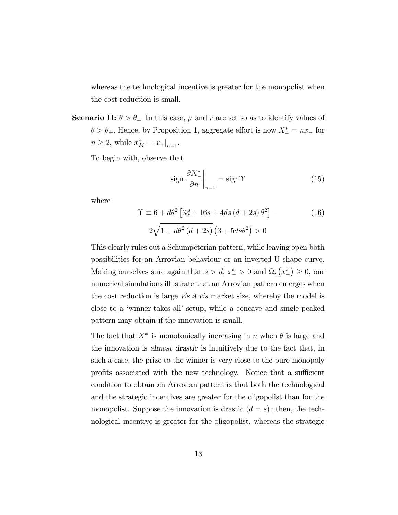whereas the technological incentive is greater for the monopolist when the cost reduction is small.

**Scenario II:**  $\theta > \theta_+$  In this case,  $\mu$  and r are set so as to identify values of  $\theta > \theta_+$ . Hence, by Proposition 1, aggregate effort is now  $X_-^* = nx_-$  for  $n \geq 2$ , while  $x_M^* = x_+|_{n=1}$ .

To begin with, observe that

$$
\operatorname{sign} \left. \frac{\partial X_{-}^{*}}{\partial n} \right|_{n=1} = \operatorname{sign} \Upsilon \tag{15}
$$

where

$$
\Upsilon \equiv 6 + d\theta^2 \left[ 3d + 16s + 4ds (d + 2s) \theta^2 \right] -
$$
  
2\sqrt{1 + d\theta^2 (d + 2s)} (3 + 5ds\theta^2) > 0 (16)

This clearly rules out a Schumpeterian pattern, while leaving open both possibilities for an Arrovian behaviour or an inverted-U shape curve. Making ourselves sure again that  $s > d$ ,  $x_{-}^{*} > 0$  and  $\Omega_{i} (x_{-}^{*}) \ge 0$ , our numerical simulations illustrate that an Arrovian pattern emerges when the cost reduction is large vis à vis market size, whereby the model is close to a ëwinner-takes-allí setup, while a concave and single-peaked pattern may obtain if the innovation is small.

The fact that  $X_{-}^{*}$  is monotonically increasing in n when  $\theta$  is large and the innovation is almost drastic is intuitively due to the fact that, in such a case, the prize to the winner is very close to the pure monopoly profits associated with the new technology. Notice that a sufficient condition to obtain an Arrovian pattern is that both the technological and the strategic incentives are greater for the oligopolist than for the monopolist. Suppose the innovation is drastic  $(d = s)$ ; then, the technological incentive is greater for the oligopolist, whereas the strategic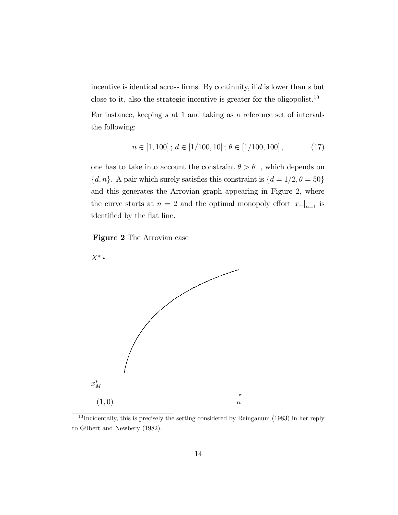incentive is identical across firms. By continuity, if  $d$  is lower than  $s$  but close to it, also the strategic incentive is greater for the oligopolist.<sup>10</sup> For instance, keeping s at 1 and taking as a reference set of intervals the following:

$$
n \in [1, 100]; d \in [1/100, 10]; \theta \in [1/100, 100], \tag{17}
$$

one has to take into account the constraint  $\theta > \theta_+$ , which depends on  $\{d, n\}$ . A pair which surely satisfies this constraint is  $\{d = 1/2, \theta = 50\}$ and this generates the Arrovian graph appearing in Figure 2, where the curve starts at  $n = 2$  and the optimal monopoly effort  $x_{+}|_{n=1}$  is  $\!$  identified by the flat line.





<sup>10</sup> Incidentally, this is precisely the setting considered by Reinganum (1983) in her reply to Gilbert and Newbery (1982).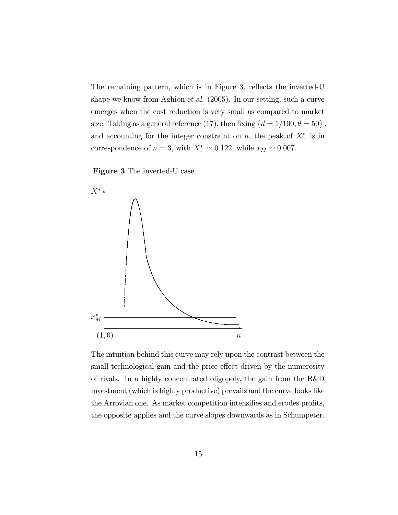The remaining pattern, which is in Figure 3, reflects the inverted-U shape we know from Aghion et al. (2005). In our setting, such a curve emerges when the cost reduction is very small as compared to market size. Taking as a general reference (17), then fixing  $\{d = 1/100, \theta = 50\}$ , and accounting for the integer constraint on  $n$ , the peak of  $X_{-}^{*}$  is in correspondence of  $n = 3$ , with  $X_{-}^{*} \simeq 0.122$ , while  $x_M \simeq 0.007$ .

Figure 3 The inverted-U case



The intuition behind this curve may rely upon the contrast between the small technological gain and the price effect driven by the numerosity of rivals. In a highly concentrated oligopoly, the gain from the R&D investment (which is highly productive) prevails and the curve looks like the Arrovian one. As market competition intensifies and erodes profits, the opposite applies and the curve slopes downwards as in Schumpeter.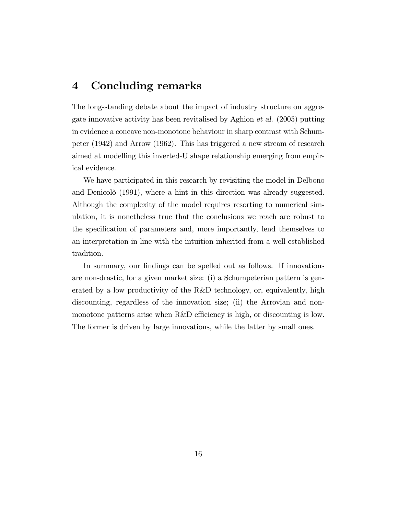### 4 Concluding remarks

The long-standing debate about the impact of industry structure on aggregate innovative activity has been revitalised by Aghion et al. (2005) putting in evidence a concave non-monotone behaviour in sharp contrast with Schumpeter (1942) and Arrow (1962). This has triggered a new stream of research aimed at modelling this inverted-U shape relationship emerging from empirical evidence.

We have participated in this research by revisiting the model in Delbono and Denicolò (1991), where a hint in this direction was already suggested. Although the complexity of the model requires resorting to numerical simulation, it is nonetheless true that the conclusions we reach are robust to the specification of parameters and, more importantly, lend themselves to an interpretation in line with the intuition inherited from a well established tradition.

In summary, our findings can be spelled out as follows. If innovations are non-drastic, for a given market size: (i) a Schumpeterian pattern is generated by a low productivity of the R&D technology, or, equivalently, high discounting, regardless of the innovation size; (ii) the Arrovian and nonmonotone patterns arise when R&D efficiency is high, or discounting is low. The former is driven by large innovations, while the latter by small ones.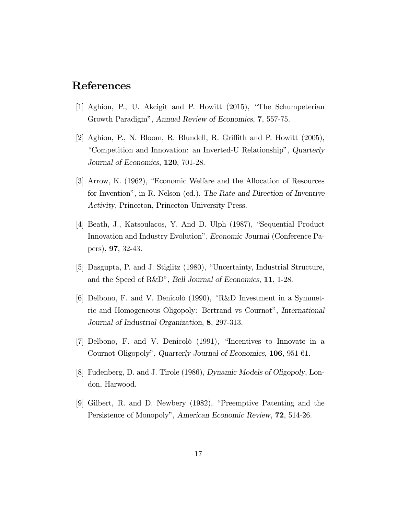### References

- [1] Aghion, P., U. Akcigit and P. Howitt (2015), "The Schumpeterian Growth Paradigm", Annual Review of Economics, 7, 557-75.
- [2] Aghion, P., N. Bloom, R. Blundell, R. Griffith and P. Howitt  $(2005)$ , "Competition and Innovation: an Inverted-U Relationship", Quarterly Journal of Economics, 120, 701-28.
- [3] Arrow, K. (1962), "Economic Welfare and the Allocation of Resources for Invention", in R. Nelson (ed.), The Rate and Direction of Inventive Activity, Princeton, Princeton University Press.
- [4] Beath, J., Katsoulacos, Y. And D. Ulph (1987), "Sequential Product Innovation and Industry Evolution", Economic Journal (Conference Papers),  $97, 32-43$ .
- [5] Dasgupta, P. and J. Stiglitz (1980), "Uncertainty, Industrial Structure, and the Speed of R&D", Bell Journal of Economics, 11, 1-28.
- [6] Delbono, F. and V. Denicolò (1990), "R&D Investment in a Symmetric and Homogeneous Oligopoly: Bertrand vs Cournot", International Journal of Industrial Organization, 8, 297-313.
- [7] Delbono, F. and V. Denicolò (1991), "Incentives to Innovate in a Cournot Oligopoly", Quarterly Journal of Economics, 106, 951-61.
- [8] Fudenberg, D. and J. Tirole (1986), Dynamic Models of Oligopoly, London, Harwood.
- [9] Gilbert, R. and D. Newbery (1982), "Preemptive Patenting and the Persistence of Monopoly", American Economic Review, 72, 514-26.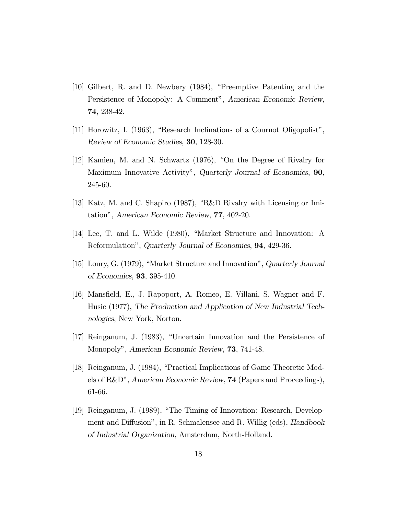- [10] Gilbert, R. and D. Newbery (1984), "Preemptive Patenting and the Persistence of Monopoly: A Comment", American Economic Review, 74, 238-42.
- [11] Horowitz, I. (1963), "Research Inclinations of a Cournot Oligopolist", Review of Economic Studies, 30, 128-30.
- [12] Kamien, M. and N. Schwartz (1976), "On the Degree of Rivalry for Maximum Innovative Activity", Quarterly Journal of Economics, 90, 245-60.
- [13] Katz, M. and C. Shapiro (1987), "R&D Rivalry with Licensing or Imitation", American Economic Review, 77, 402-20.
- [14] Lee, T. and L. Wilde (1980), "Market Structure and Innovation: A Reformulation", Quarterly Journal of Economics, 94, 429-36.
- [15] Loury, G. (1979), "Market Structure and Innovation", Quarterly Journal of Economics, 93, 395-410.
- [16] Mansfield, E., J. Rapoport, A. Romeo, E. Villani, S. Wagner and F. Husic (1977), The Production and Application of New Industrial Technologies, New York, Norton.
- [17] Reinganum, J. (1983), "Uncertain Innovation and the Persistence of Monopoly", American Economic Review, 73, 741-48.
- [18] Reinganum, J. (1984), "Practical Implications of Game Theoretic Models of R&D", American Economic Review, 74 (Papers and Proceedings), 61-66.
- [19] Reinganum, J. (1989), "The Timing of Innovation: Research, Development and Diffusion", in R. Schmalensee and R. Willig (eds), Handbook of Industrial Organization, Amsterdam, North-Holland.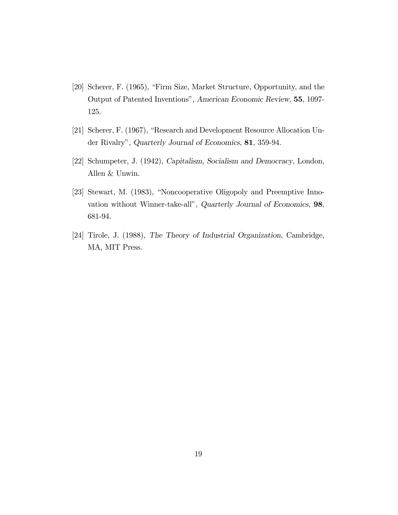- [20] Scherer, F. (1965), "Firm Size, Market Structure, Opportunity, and the Output of Patented Inventions", American Economic Review, 55, 1097-125.
- [21] Scherer, F. (1967), "Research and Development Resource Allocation Under Rivalry", Quarterly Journal of Economics, 81, 359-94.
- [22] Schumpeter, J. (1942), Capitalism, Socialism and Democracy, London, Allen & Unwin.
- [23] Stewart, M. (1983), "Noncooperative Oligopoly and Preemptive Innovation without Winner-take-all", Quarterly Journal of Economics, 98, 681-94.
- [24] Tirole, J. (1988), The Theory of Industrial Organization, Cambridge, MA, MIT Press.